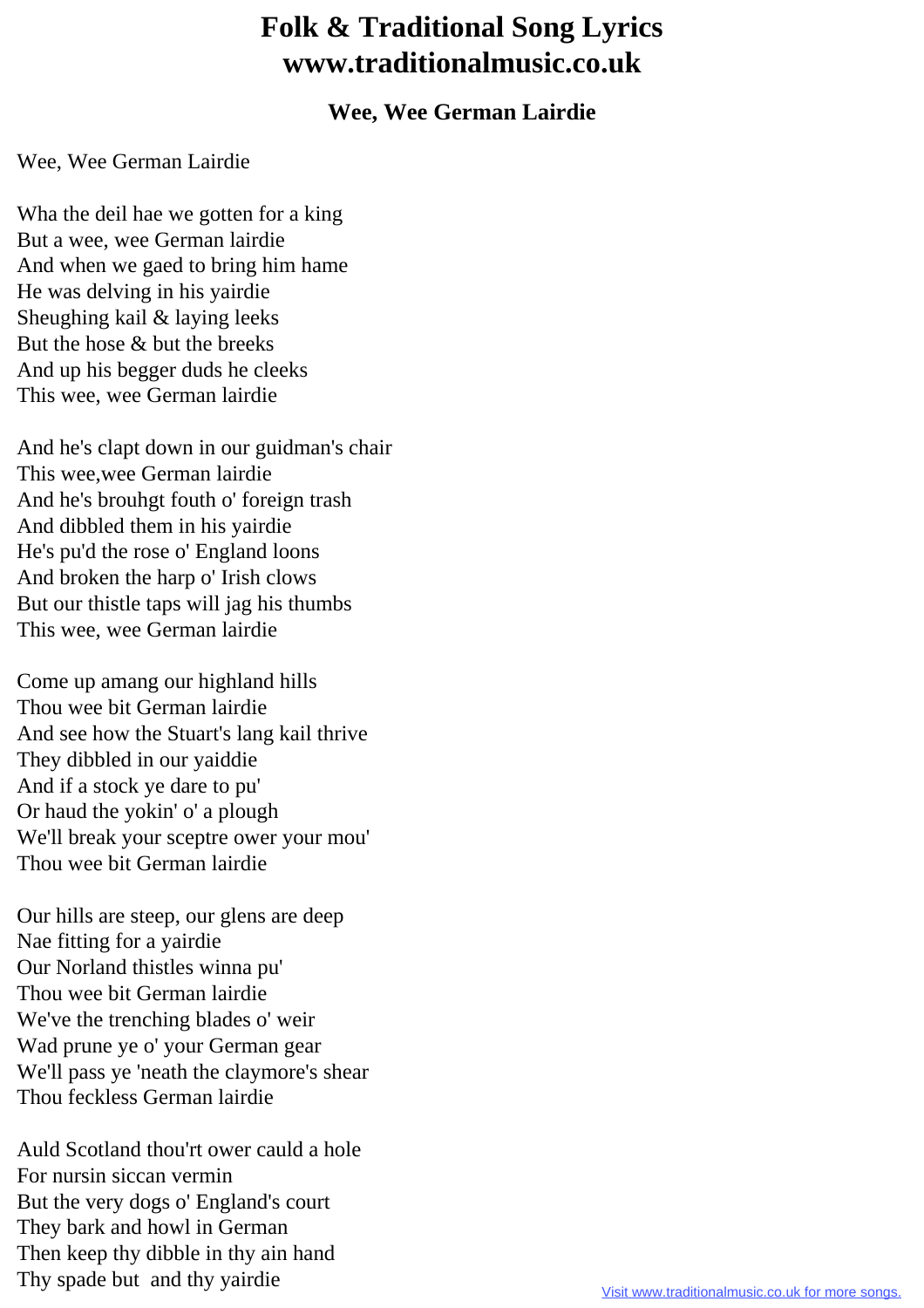## **Folk & Traditional Song Lyrics www.traditionalmusic.co.uk**

## **Wee, Wee German Lairdie**

## Wee, Wee German Lairdie

Wha the deil hae we gotten for a king But a wee, wee German lairdie And when we gaed to bring him hame He was delving in his yairdie Sheughing kail & laying leeks But the hose & but the breeks And up his begger duds he cleeks This wee, wee German lairdie

And he's clapt down in our guidman's chair This wee,wee German lairdie And he's brouhgt fouth o' foreign trash And dibbled them in his yairdie He's pu'd the rose o' England loons And broken the harp o' Irish clows But our thistle taps will jag his thumbs This wee, wee German lairdie

Come up amang our highland hills Thou wee bit German lairdie And see how the Stuart's lang kail thrive They dibbled in our yaiddie And if a stock ye dare to pu' Or haud the yokin' o' a plough We'll break your sceptre ower your mou' Thou wee bit German lairdie

Our hills are steep, our glens are deep Nae fitting for a yairdie Our Norland thistles winna pu' Thou wee bit German lairdie We've the trenching blades o' weir Wad prune ye o' your German gear We'll pass ye 'neath the claymore's shear Thou feckless German lairdie

Auld Scotland thou'rt ower cauld a hole For nursin siccan vermin But the very dogs o' England's court They bark and howl in German Then keep thy dibble in thy ain hand Thy spade but and thy yairdie